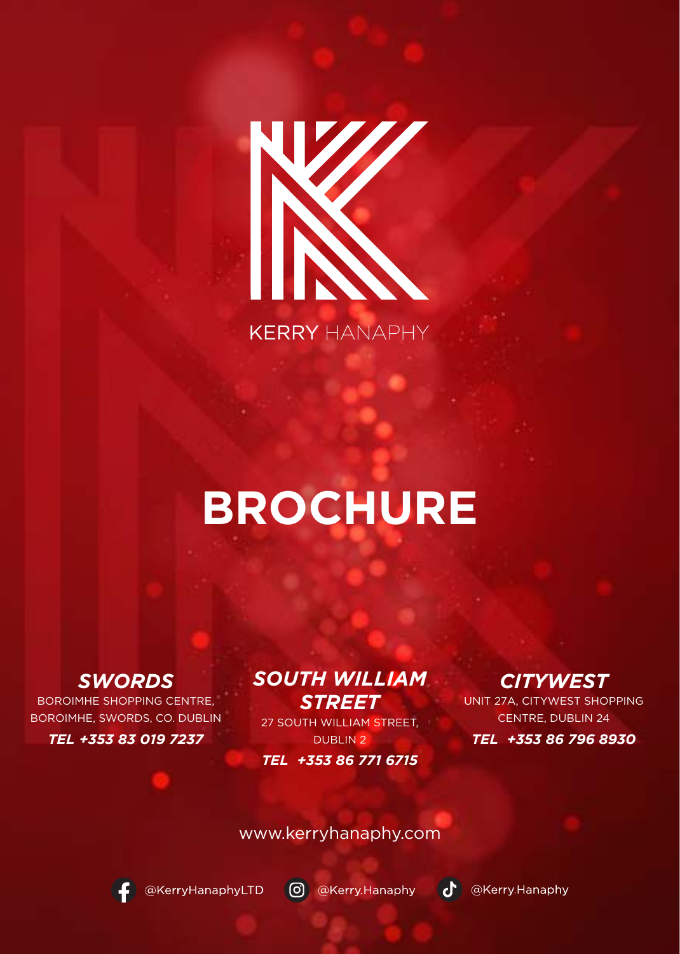

**KERRY HANAPHY** 

## **BROCHURE**

*SWORDS* BOROIMHE SHOPPING CENTRE, BOROIMHE, SWORDS, CO. DUBLIN *TEL +353 83 019 7237*

#### *SOUTH WILLIAM STREET*

27 SOUTH WILLIAM STREET, DUBLIN 2 *TEL +353 86 771 6715*

## *CITYWEST*

UNIT 27A, CITYWEST SHOPPING CENTRE, DUBLIN 24 *TEL +353 86 796 8930*

www.kerryhanaphy.com



@KerryHanaphyLTD (O) @Kerry.Hanaphy

**O** @Kerry Hanaphy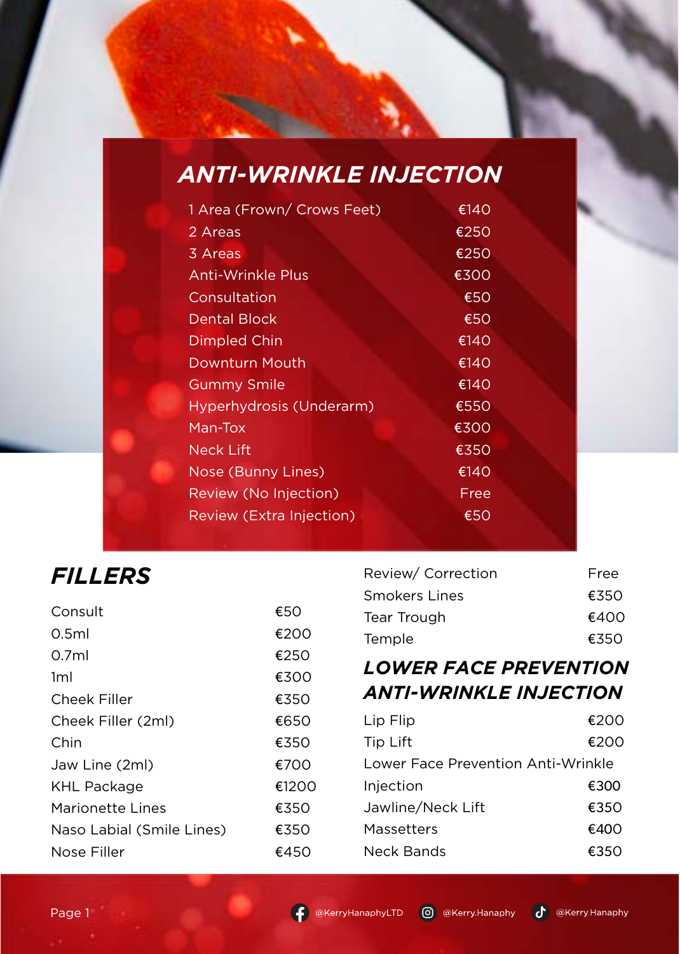### *ANTI-WRINKLE INJECTION*

| 1 Area (Frown/ Crows Feet)      | €140 |
|---------------------------------|------|
| 2 Areas                         | €250 |
| 3 Areas                         | €250 |
| <b>Anti-Wrinkle Plus</b>        | €300 |
| Consultation                    | €50  |
| Dental Block                    | €50  |
| Dimpled Chin                    | €140 |
| Downturn Mouth                  | €140 |
| <b>Gummy Smile</b>              | €140 |
| Hyperhydrosis (Underarm)        | €550 |
| Man-Tox                         | €300 |
| Neck Lift                       | €350 |
| Nose (Bunny Lines)              | €140 |
| Review (No Injection)           | Free |
| <b>Review (Extra Injection)</b> | €50  |
|                                 |      |

#### *FILLERS*

| Consult                   | €50   |
|---------------------------|-------|
| 0.5ml                     | €200  |
| 0.7ml                     | €250  |
| 1ml                       | €300  |
| Cheek Filler              | €350  |
| Cheek Filler (2ml)        | €650  |
| Chin                      | €350  |
| Jaw Line (2ml)            | €700  |
| <b>KHL Package</b>        | €1200 |
| Marionette Lines          | €350  |
| Naso Labial (Smile Lines) | €350  |
| Nose Filler               | €450  |

| Free |
|------|
| €350 |
| €400 |
| €350 |
|      |

#### *LOWER FACE PREVENTION ANTI-WRINKLE INJECTION*

| Lip Flip                           | €200 |
|------------------------------------|------|
| Tip Lift                           | €200 |
| Lower Face Prevention Anti-Wrinkle |      |
| Injection                          | €300 |
| Jawline/Neck Lift                  | €350 |
| Massetters                         | €400 |
| Neck Bands                         | €350 |
|                                    |      |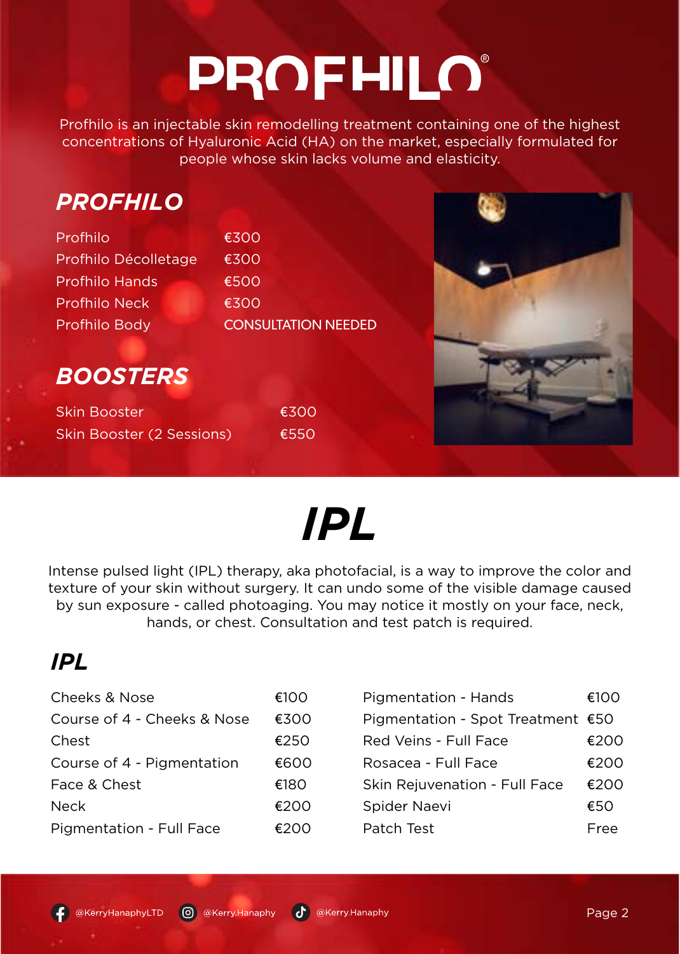# **PROFHILO®**

Profhilo is an injectable skin remodelling treatment containing one of the highest concentrations of Hyaluronic Acid (HA) on the market, especially formulated for people whose skin lacks volume and elasticity.

| <b>PROFHILO</b> |  |
|-----------------|--|
|                 |  |

| Profhilo              | €300                       |
|-----------------------|----------------------------|
| Profhilo Décolletage  | €300                       |
| <b>Profhilo Hands</b> | €500                       |
| <b>Profhilo Neck</b>  | €300                       |
| Profhilo Body         | <b>CONSULTATION NEEDED</b> |



## *BOOSTERS*

| <b>Skin Booster</b>       | €300 |
|---------------------------|------|
| Skin Booster (2 Sessions) | €550 |

## *IPL*

Intense pulsed light (IPL) therapy, aka photofacial, is a way to improve the color and texture of your skin without surgery. It can undo some of the visible damage caused by sun exposure - called photoaging. You may notice it mostly on your face, neck, hands, or chest. Consultation and test patch is required.

## *IPL*

| Cheeks & Nose               | €100  |
|-----------------------------|-------|
| Course of 4 - Cheeks & Nose | €300  |
| Chest                       | €250  |
| Course of 4 - Pigmentation  | €600  |
| Face & Chest                | €180. |
| Neck                        | €200  |
| Pigmentation - Full Face    | €200  |
|                             |       |

| Pigmentation - Hands              | €100 |
|-----------------------------------|------|
| Pigmentation - Spot Treatment €50 |      |
| Red Veins - Full Face             | €200 |
| Rosacea - Full Face               | €200 |
| Skin Rejuvenation - Full Face     | €200 |
| Spider Naevi                      | €50  |
| Patch Test                        | Eree |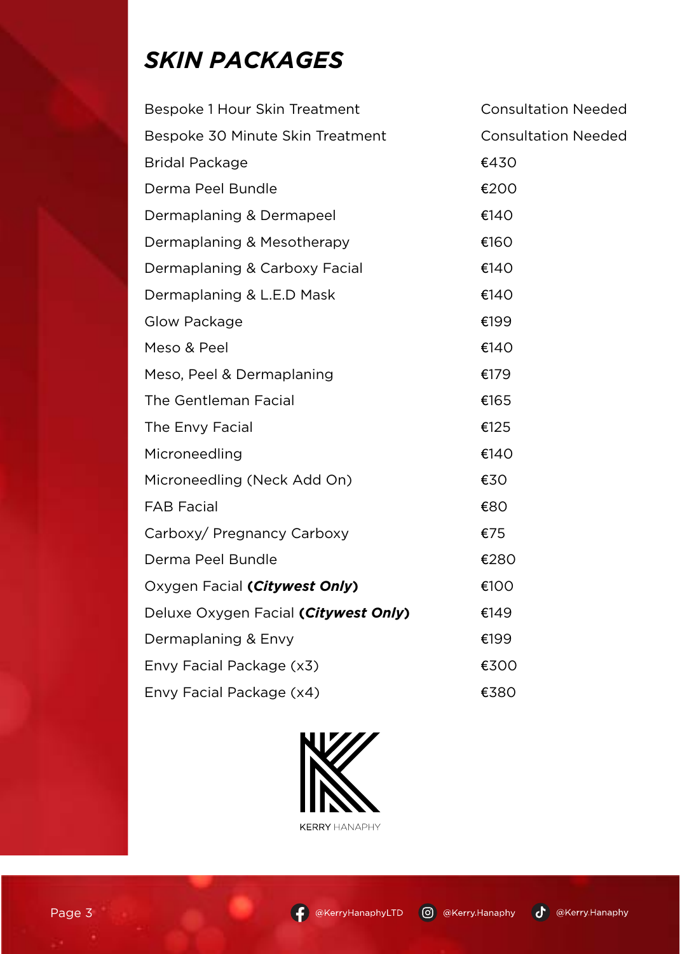## *SKIN PACKAGES*

| Bespoke 1 Hour Skin Treatment        | <b>Consultation Needed</b> |
|--------------------------------------|----------------------------|
| Bespoke 30 Minute Skin Treatment     | <b>Consultation Needed</b> |
| <b>Bridal Package</b>                | €430                       |
| Derma Peel Bundle                    | €200                       |
| Dermaplaning & Dermapeel             | €140                       |
| Dermaplaning & Mesotherapy           | €160                       |
| Dermaplaning & Carboxy Facial        | €140                       |
| Dermaplaning & L.E.D Mask            | €140                       |
| Glow Package                         | €199                       |
| Meso & Peel                          | €140                       |
| Meso, Peel & Dermaplaning            | €179                       |
| The Gentleman Facial                 | €165                       |
| The Envy Facial                      | €125                       |
| Microneedling                        | €140                       |
| Microneedling (Neck Add On)          | €30                        |
| <b>FAB Facial</b>                    | €80                        |
| Carboxy/ Pregnancy Carboxy           | €75                        |
| Derma Peel Bundle                    | €280                       |
| Oxygen Facial (Citywest Only)        | €100                       |
| Deluxe Oxygen Facial (Citywest Only) | €149                       |
| Dermaplaning & Envy                  | €199                       |
| Envy Facial Package (x3)             | €300                       |
| Envy Facial Package (x4)             | €380                       |





٠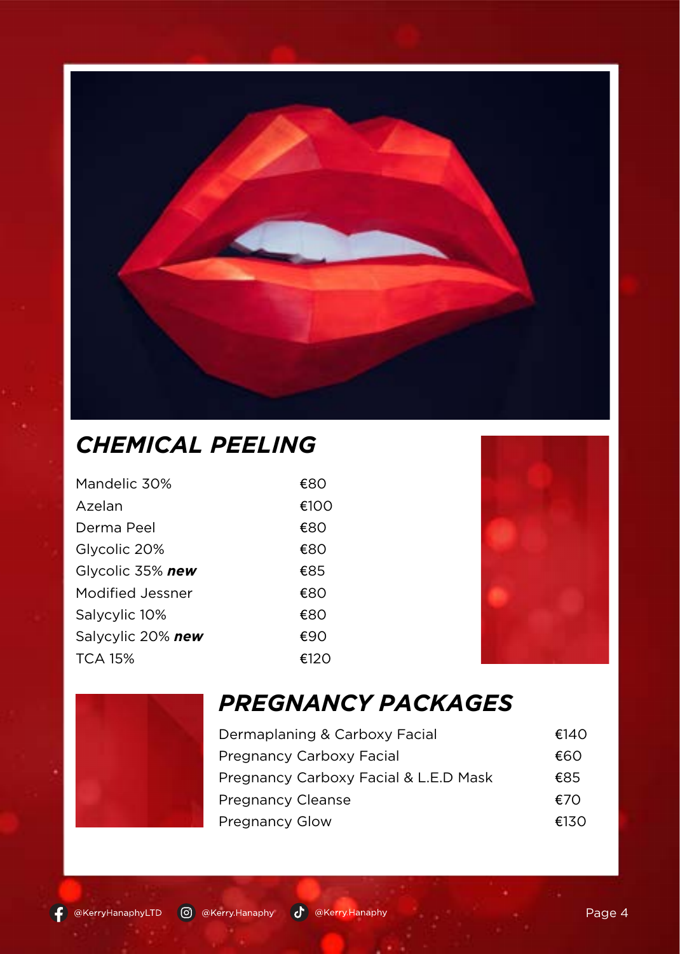

## *CHEMICAL PEELING*

| Mandelic 30%      | €80  |
|-------------------|------|
| Azelan            | €100 |
| Derma Peel        | €80  |
| Glycolic 20%      | €80  |
| Glycolic 35% new  | €85  |
| Modified Jessner  | €80  |
| Salycylic 10%     | €80  |
| Salycylic 20% new | €90  |
| TCA 15%           | €120 |





## *PREGNANCY PACKAGES*

| Dermaplaning & Carboxy Facial         | €140 |
|---------------------------------------|------|
| Pregnancy Carboxy Facial              | €60  |
| Pregnancy Carboxy Facial & L.E.D Mask | €85  |
| <b>Pregnancy Cleanse</b>              | €70  |
| Pregnancy Glow                        | €130 |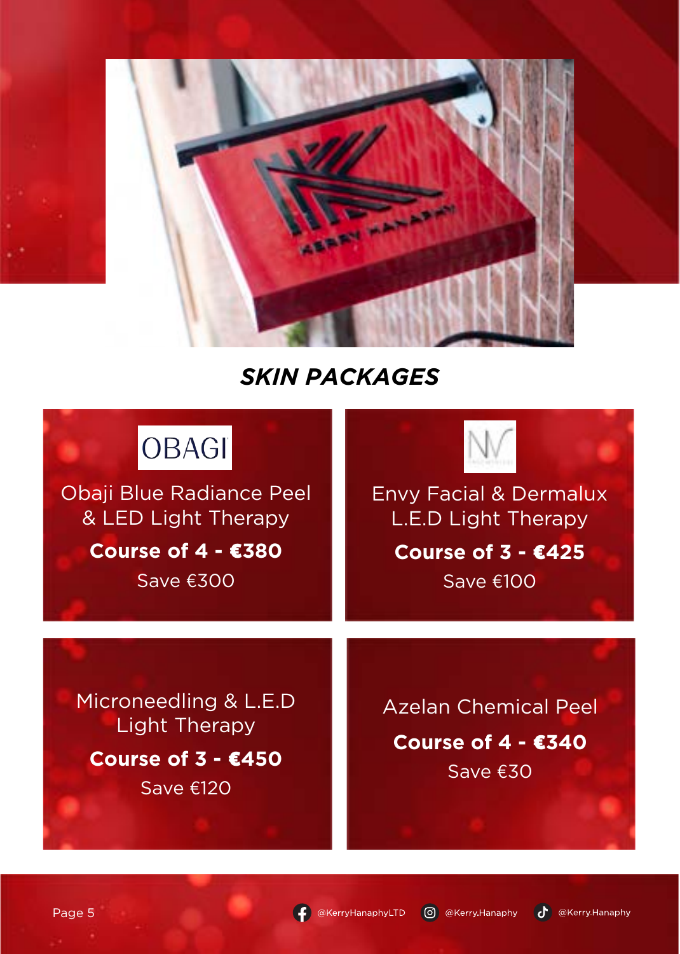

### *SKIN PACKAGES*

| <b>OBAGI</b>                                                                       |                                                                 |
|------------------------------------------------------------------------------------|-----------------------------------------------------------------|
| <b>Obaji Blue Radiance Peel</b><br>& LED Light Therapy<br>Course of 4 - €380       | <b>Envy Facial &amp; Dermalux</b><br>L.E.D Light Therapy        |
| Save €300                                                                          | Course of 3 - €425<br>Save €100                                 |
| Microneedling & L.E.D<br><b>Light Therapy</b><br>Course of $3 - £450$<br>Save €120 | <b>Azelan Chemical Peel</b><br>Course of $4 - 2340$<br>Save €30 |

C @KerryHanaphyLTD © @Kerry.Hanaphy ( @Kerry.Hanaphy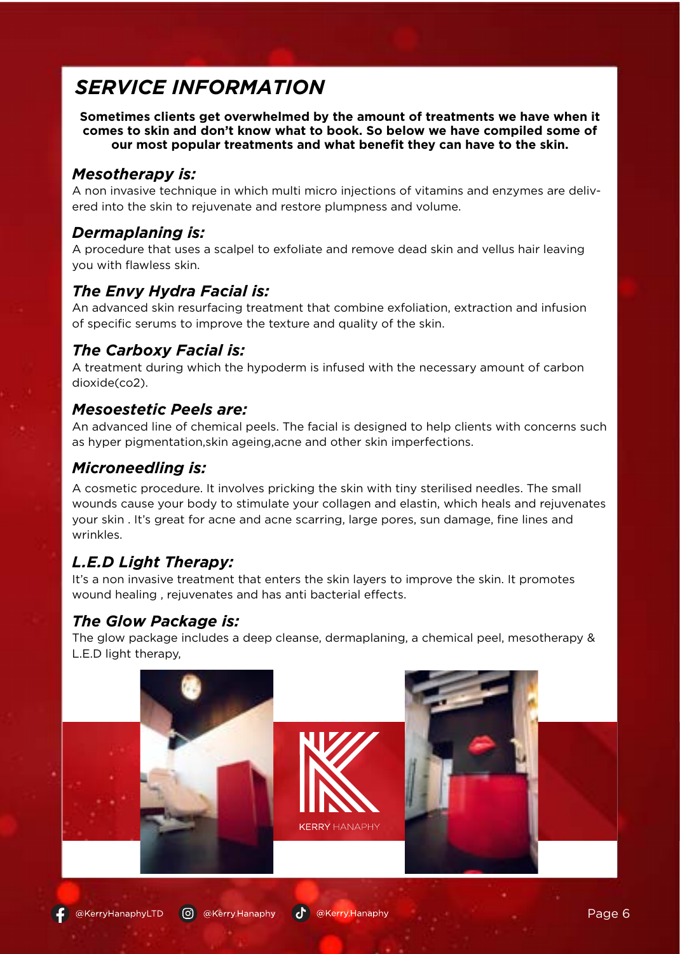#### *SERVICE INFORMATION*

**Sometimes clients get overwhelmed by the amount of treatments we have when it comes to skin and don't know what to book. So below we have compiled some of our most popular treatments and what benefit they can have to the skin.**

#### *Mesotherapy is:*

A non invasive technique in which multi micro injections of vitamins and enzymes are delivered into the skin to rejuvenate and restore plumpness and volume.

#### *Dermaplaning is:*

A procedure that uses a scalpel to exfoliate and remove dead skin and vellus hair leaving you with flawless skin.

#### *The Envy Hydra Facial is:*

An advanced skin resurfacing treatment that combine exfoliation, extraction and infusion of specific serums to improve the texture and quality of the skin.

#### *The Carboxy Facial is:*

A treatment during which the hypoderm is infused with the necessary amount of carbon dioxide(co2).

#### *Mesoestetic Peels are:*

An advanced line of chemical peels. The facial is designed to help clients with concerns such as hyper pigmentation,skin ageing,acne and other skin imperfections.

#### *Microneedling is:*

A cosmetic procedure. It involves pricking the skin with tiny sterilised needles. The small wounds cause your body to stimulate your collagen and elastin, which heals and rejuvenates your skin . It's great for acne and acne scarring, large pores, sun damage, fine lines and wrinkles.

#### *L.E.D Light Therapy:*

It's a non invasive treatment that enters the skin layers to improve the skin. It promotes wound healing , rejuvenates and has anti bacterial effects.

#### *The Glow Package is:*

The glow package includes a deep cleanse, dermaplaning, a chemical peel, mesotherapy & L.E.D light therapy,